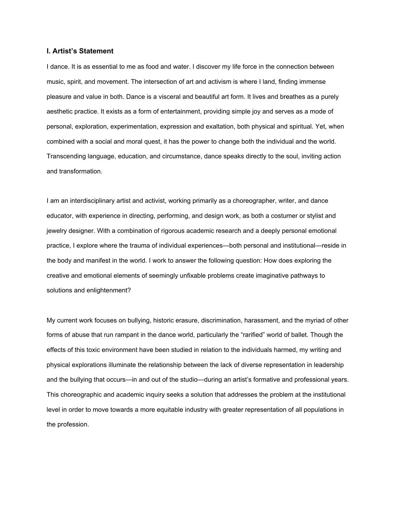### **I. Artist's Statement**

I dance. It is as essential to me as food and water. I discover my life force in the connection between music, spirit, and movement. The intersection of art and activism is where I land, finding immense pleasure and value in both. Dance is a visceral and beautiful art form. It lives and breathes as a purely aesthetic practice. It exists as a form of entertainment, providing simple joy and serves as a mode of personal, exploration, experimentation, expression and exaltation, both physical and spiritual. Yet, when combined with a social and moral quest, it has the power to change both the individual and the world. Transcending language, education, and circumstance, dance speaks directly to the soul, inviting action and transformation.

I am an interdisciplinary artist and activist, working primarily as a choreographer, writer, and dance educator, with experience in directing, performing, and design work, as both a costumer or stylist and jewelry designer. With a combination of rigorous academic research and a deeply personal emotional practice, I explore where the trauma of individual experiences—both personal and institutional—reside in the body and manifest in the world. I work to answer the following question: How does exploring the creative and emotional elements of seemingly unfixable problems create imaginative pathways to solutions and enlightenment?

My current work focuses on bullying, historic erasure, discrimination, harassment, and the myriad of other forms of abuse that run rampant in the dance world, particularly the "rarified" world of ballet. Though the effects of this toxic environment have been studied in relation to the individuals harmed, my writing and physical explorations illuminate the relationship between the lack of diverse representation in leadership and the bullying that occurs—in and out of the studio—during an artist's formative and professional years. This choreographic and academic inquiry seeks a solution that addresses the problem at the institutional level in order to move towards a more equitable industry with greater representation of all populations in the profession.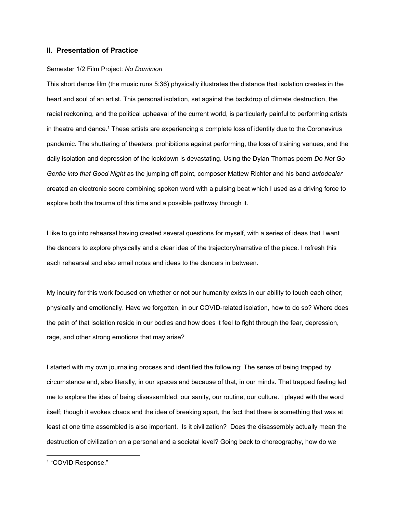# **II. Presentation of Practice**

#### Semester 1/2 Film Project: *No Dominion*

This short dance film (the music runs 5:36) physically illustrates the distance that isolation creates in the heart and soul of an artist. This personal isolation, set against the backdrop of climate destruction, the racial reckoning, and the political upheaval of the current world, is particularly painful to performing artists in theatre and dance. <sup>1</sup> These artists are experiencing a complete loss of identity due to the Coronavirus pandemic. The shuttering of theaters, prohibitions against performing, the loss of training venues, and the daily isolation and depression of the lockdown is devastating. Using the Dylan Thomas poem *Do Not Go Gentle into that Good Night* as the jumping off point, composer Mattew Richter and his band *autodealer* created an electronic score combining spoken word with a pulsing beat which I used as a driving force to explore both the trauma of this time and a possible pathway through it.

I like to go into rehearsal having created several questions for myself, with a series of ideas that I want the dancers to explore physically and a clear idea of the trajectory/narrative of the piece. I refresh this each rehearsal and also email notes and ideas to the dancers in between.

My inquiry for this work focused on whether or not our humanity exists in our ability to touch each other; physically and emotionally. Have we forgotten, in our COVID-related isolation, how to do so? Where does the pain of that isolation reside in our bodies and how does it feel to fight through the fear, depression, rage, and other strong emotions that may arise?

I started with my own journaling process and identified the following: The sense of being trapped by circumstance and, also literally, in our spaces and because of that, in our minds. That trapped feeling led me to explore the idea of being disassembled: our sanity, our routine, our culture. I played with the word itself; though it evokes chaos and the idea of breaking apart, the fact that there is something that was at least at one time assembled is also important. Is it civilization? Does the disassembly actually mean the destruction of civilization on a personal and a societal level? Going back to choreography, how do we

<sup>1</sup> "COVID [Response."](https://www.zotero.org/google-docs/?3Pn1Df)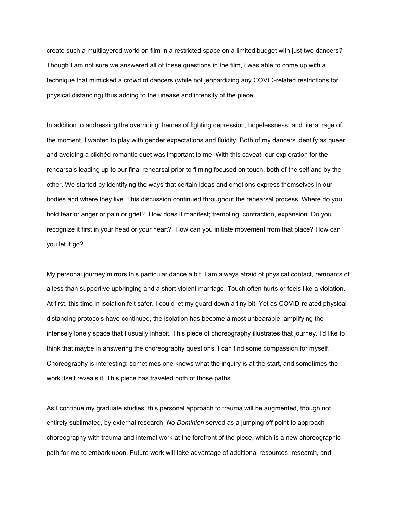create such a multilayered world on film in a restricted space on a limited budget with just two dancers? Though I am not sure we answered all of these questions in the film, I was able to come up with a technique that mimicked a crowd of dancers (while not jeopardizing any COVID-related restrictions for physical distancing) thus adding to the unease and intensity of the piece.

In addition to addressing the overriding themes of fighting depression, hopelessness, and literal rage of the moment, I wanted to play with gender expectations and fluidity. Both of my dancers identify as queer and avoiding a clichéd romantic duet was important to me. With this caveat, our exploration for the rehearsals leading up to our final rehearsal prior to filming focused on touch, both of the self and by the other. We started by identifying the ways that certain ideas and emotions express themselves in our bodies and where they live. This discussion continued throughout the rehearsal process. Where do you hold fear or anger or pain or grief? How does it manifest; trembling, contraction, expansion. Do you recognize it first in your head or your heart? How can you initiate movement from that place? How can you let it go?

My personal journey mirrors this particular dance a bit. I am always afraid of physical contact, remnants of a less than supportive upbringing and a short violent marriage. Touch often hurts or feels like a violation. At first, this time in isolation felt safer. I could let my guard down a tiny bit. Yet as COVID-related physical distancing protocols have continued, the isolation has become almost unbearable, amplifying the intensely lonely space that I usually inhabit. This piece of choreography illustrates that journey. I'd like to think that maybe in answering the choreography questions, I can find some compassion for myself. Choreography is interesting: sometimes one knows what the inquiry is at the start, and sometimes the work itself reveals it. This piece has traveled both of those paths.

As I continue my graduate studies, this personal approach to trauma will be augmented, though not entirely sublimated, by external research. *No Dominion* served as a jumping off point to approach choreography with trauma and internal work at the forefront of the piece, which is a new choreographic path for me to embark upon. Future work will take advantage of additional resources, research, and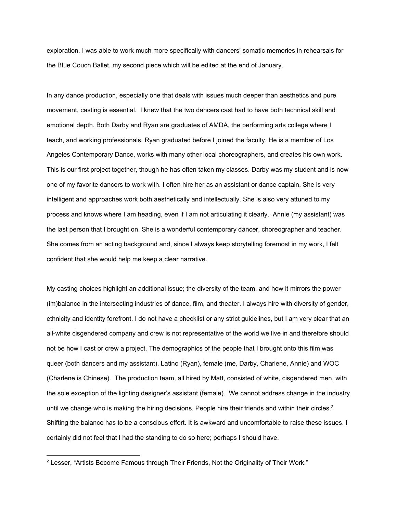exploration. I was able to work much more specifically with dancers' somatic memories in rehearsals for the Blue Couch Ballet, my second piece which will be edited at the end of January.

In any dance production, especially one that deals with issues much deeper than aesthetics and pure movement, casting is essential. I knew that the two dancers cast had to have both technical skill and emotional depth. Both Darby and Ryan are graduates of AMDA, the performing arts college where I teach, and working professionals. Ryan graduated before I joined the faculty. He is a member of Los Angeles Contemporary Dance, works with many other local choreographers, and creates his own work. This is our first project together, though he has often taken my classes. Darby was my student and is now one of my favorite dancers to work with. I often hire her as an assistant or dance captain. She is very intelligent and approaches work both aesthetically and intellectually. She is also very attuned to my process and knows where I am heading, even if I am not articulating it clearly. Annie (my assistant) was the last person that I brought on. She is a wonderful contemporary dancer, choreographer and teacher. She comes from an acting background and, since I always keep storytelling foremost in my work, I felt confident that she would help me keep a clear narrative.

My casting choices highlight an additional issue; the diversity of the team, and how it mirrors the power (im)balance in the intersecting industries of dance, film, and theater. I always hire with diversity of gender, ethnicity and identity forefront. I do not have a checklist or any strict guidelines, but I am very clear that an all-white cisgendered company and crew is not representative of the world we live in and therefore should not be how I cast or crew a project. The demographics of the people that I brought onto this film was queer (both dancers and my assistant), Latino (Ryan), female (me, Darby, Charlene, Annie) and WOC (Charlene is Chinese). The production team, all hired by Matt, consisted of white, cisgendered men, with the sole exception of the lighting designer's assistant (female). We cannot address change in the industry until we change who is making the hiring decisions. People hire their friends and within their circles.<sup>2</sup> Shifting the balance has to be a conscious effort. It is awkward and uncomfortable to raise these issues. I certainly did not feel that I had the standing to do so here; perhaps I should have.

<sup>&</sup>lt;sup>2</sup> Lesser, "Artists Become Famous through Their Friends, Not the [Originality](https://www.zotero.org/google-docs/?VMOuUz) of Their Work."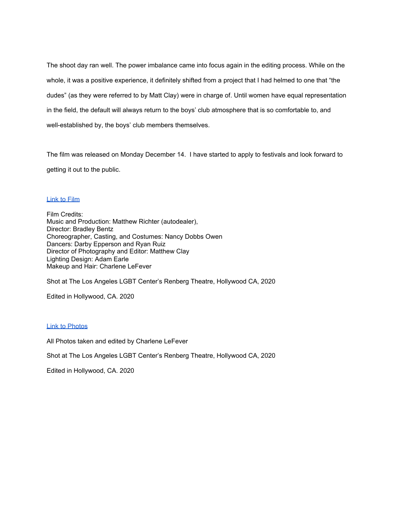The shoot day ran well. The power imbalance came into focus again in the editing process. While on the whole, it was a positive experience, it definitely shifted from a project that I had helmed to one that "the dudes" (as they were referred to by Matt Clay) were in charge of. Until women have equal representation in the field, the default will always return to the boys' club atmosphere that is so comfortable to, and well-established by, the boys' club members themselves.

The film was released on Monday December 14. I have started to apply to festivals and look forward to getting it out to the public.

# Link to [Film](https://vimeo.com/490509047)

Film Credits: Music and Production: Matthew Richter (autodealer), Director: Bradley Bentz Choreographer, Casting, and Costumes: Nancy Dobbs Owen Dancers: Darby Epperson and Ryan Ruiz Director of Photography and Editor: Matthew Clay Lighting Design: Adam Earle Makeup and Hair: Charlene LeFever

Shot at The Los Angeles LGBT Center's Renberg Theatre, Hollywood CA, 2020

Edited in Hollywood, CA. 2020

### Link to [Photos](https://drive.google.com/drive/folders/12DhXCq-tr08sOblWft9-VxfkBIToW5Tc?usp=sharing)

All Photos taken and edited by Charlene LeFever

Shot at The Los Angeles LGBT Center's Renberg Theatre, Hollywood CA, 2020

Edited in Hollywood, CA. 2020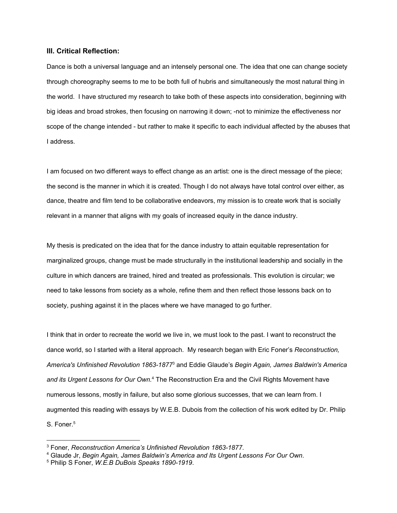# **III. Critical Reflection:**

Dance is both a universal language and an intensely personal one. The idea that one can change society through choreography seems to me to be both full of hubris and simultaneously the most natural thing in the world. I have structured my research to take both of these aspects into consideration, beginning with big ideas and broad strokes, then focusing on narrowing it down; -not to minimize the effectiveness nor scope of the change intended - but rather to make it specific to each individual affected by the abuses that I address.

I am focused on two different ways to effect change as an artist: one is the direct message of the piece; the second is the manner in which it is created. Though I do not always have total control over either, as dance, theatre and film tend to be collaborative endeavors, my mission is to create work that is socially relevant in a manner that aligns with my goals of increased equity in the dance industry.

My thesis is predicated on the idea that for the dance industry to attain equitable representation for marginalized groups, change must be made structurally in the institutional leadership and socially in the culture in which dancers are trained, hired and treated as professionals. This evolution is circular; we need to take lessons from society as a whole, refine them and then reflect those lessons back on to society, pushing against it in the places where we have managed to go further.

I think that in order to recreate the world we live in, we must look to the past. I want to reconstruct the dance world, so I started with a literal approach. My research began with Eric Foner's *Reconstruction, America's Unfinished Revolution 1863-1877* <sup>3</sup> and Eddie Glaude's *Begin Again, James Baldwin's America and its Urgent Lessons for Our Own.* <sup>4</sup> The Reconstruction Era and the Civil Rights Movement have numerous lessons, mostly in failure, but also some glorious successes, that we can learn from. I augmented this reading with essays by W.E.B. Dubois from the collection of his work edited by Dr. Philip S. Foner. 5

<sup>3</sup> [Foner,](https://www.zotero.org/google-docs/?i4Ye4P) *[Reconstruction](https://www.zotero.org/google-docs/?i4Ye4P) America's Unfinished Revolution 1863-1877*[.](https://www.zotero.org/google-docs/?i4Ye4P)

<sup>4</sup> [Glaude](https://www.zotero.org/google-docs/?NR9Nsc) Jr, *Begin Again, James [Baldwin's](https://www.zotero.org/google-docs/?NR9Nsc) America and Its Urgent Lessons For Our Own*[.](https://www.zotero.org/google-docs/?NR9Nsc)

<sup>5</sup> Philip S [Foner,](https://www.zotero.org/google-docs/?9SGzWP) *W.E.B DuBois Speaks [1890-1919](https://www.zotero.org/google-docs/?9SGzWP)*[.](https://www.zotero.org/google-docs/?9SGzWP)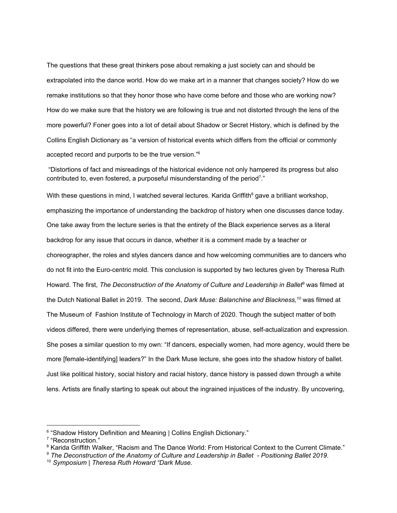The questions that these great thinkers pose about remaking a just society can and should be extrapolated into the dance world. How do we make art in a manner that changes society? How do we remake institutions so that they honor those who have come before and those who are working now? How do we make sure that the history we are following is true and not distorted through the lens of the more powerful? Foner goes into a lot of detail about Shadow or Secret History, which is defined by the Collins English Dictionary as "a version of historical events which differs from the official or commonly accepted record and purports to be the true version." 6

"Distortions of fact and misreadings of the historical evidence not only hampered its progress but also contributed to, even fostered, a purposeful misunderstanding of the period<sup>7</sup>."

With these questions in mind, I watched several lectures. Karida Griffith<sup>8</sup> gave a brilliant workshop, emphasizing the importance of understanding the backdrop of history when one discusses dance today. One take away from the lecture series is that the entirety of the Black experience serves as a literal backdrop for any issue that occurs in dance, whether it is a comment made by a teacher or choreographer, the roles and styles dancers dance and how welcoming communities are to dancers who do not fit into the Euro-centric mold. This conclusion is supported by two lectures given by Theresa Ruth Howard. The first, *The Deconstruction of the Anatomy of Culture and Leadership in Ballet* <sup>9</sup> was filmed at the Dutch National Ballet in 2019. The second, *Dark Muse: Balanchine and Blackness, <sup>10</sup>* was filmed at The Museum of Fashion Institute of Technology in March of 2020. Though the subject matter of both videos differed, there were underlying themes of representation, abuse, self-actualization and expression. She poses a similar question to my own: "If dancers, especially women, had more agency, would there be more [female-identifying] leaders?" In the Dark Muse lecture, she goes into the shadow history of ballet. Just like political history, social history and racial history, dance history is passed down through a white lens. Artists are finally starting to speak out about the ingrained injustices of the industry. By uncovering,

<sup>&</sup>lt;sup>6</sup> "Shadow History Definition and Meaning | Collins English [Dictionary."](https://www.zotero.org/google-docs/?84kMl2)

<sup>7</sup> ["Reconstruction."](https://www.zotero.org/google-docs/?h8PwRC)

<sup>&</sup>lt;sup>8</sup> Karida Griffith Walker, "Racism and The Dance World: From [Historical](https://www.zotero.org/google-docs/?hyiTAa) Context to the Current Climate."

<sup>9</sup> *The [Deconstruction](https://www.zotero.org/google-docs/?ecxUng) of the Anatomy of Culture and Leadership in Ballet - Positioning Ballet 2019*[.](https://www.zotero.org/google-docs/?ecxUng)

<sup>10</sup> *[Symposium](https://www.zotero.org/google-docs/?idHSyB) | Theresa Ruth Howard "Dark Muse*[.](https://www.zotero.org/google-docs/?idHSyB)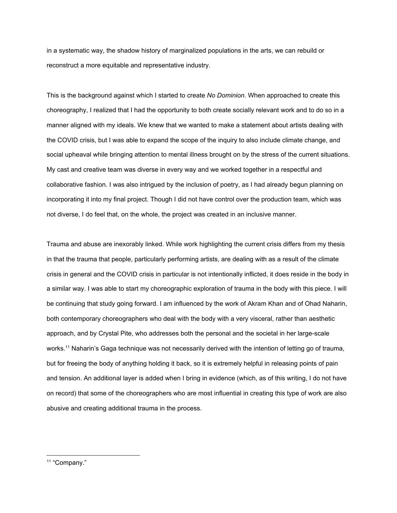in a systematic way, the shadow history of marginalized populations in the arts, we can rebuild or reconstruct a more equitable and representative industry.

This is the background against which I started to create *No Dominion*. When approached to create this choreography, I realized that I had the opportunity to both create socially relevant work and to do so in a manner aligned with my ideals. We knew that we wanted to make a statement about artists dealing with the COVID crisis, but I was able to expand the scope of the inquiry to also include climate change, and social upheaval while bringing attention to mental illness brought on by the stress of the current situations. My cast and creative team was diverse in every way and we worked together in a respectful and collaborative fashion. I was also intrigued by the inclusion of poetry, as I had already begun planning on incorporating it into my final project. Though I did not have control over the production team, which was not diverse, I do feel that, on the whole, the project was created in an inclusive manner.

Trauma and abuse are inexorably linked. While work highlighting the current crisis differs from my thesis in that the trauma that people, particularly performing artists, are dealing with as a result of the climate crisis in general and the COVID crisis in particular is not intentionally inflicted, it does reside in the body in a similar way. I was able to start my choreographic exploration of trauma in the body with this piece. I will be continuing that study going forward. I am influenced by the work of Akram Khan and of Ohad Naharin, both contemporary choreographers who deal with the body with a very visceral, rather than aesthetic approach, and by Crystal Pite, who addresses both the personal and the societal in her large-scale works. <sup>11</sup> Naharin's Gaga technique was not necessarily derived with the intention of letting go of trauma, but for freeing the body of anything holding it back, so it is extremely helpful in releasing points of pain and tension. An additional layer is added when I bring in evidence (which, as of this writing, I do not have on record) that some of the choreographers who are most influential in creating this type of work are also abusive and creating additional trauma in the process.

<sup>&</sup>lt;sup>11</sup> ["Company."](https://www.zotero.org/google-docs/?B5EGx1)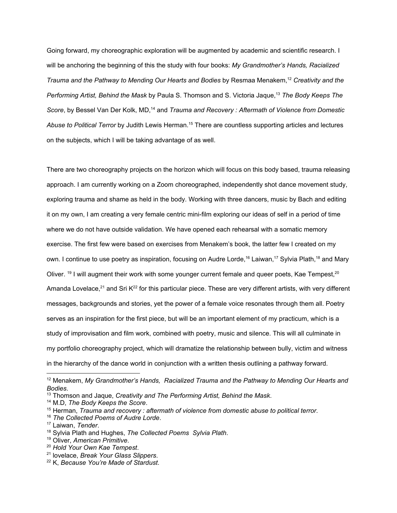Going forward, my choreographic exploration will be augmented by academic and scientific research. I will be anchoring the beginning of this the study with four books: *My Grandmother's Hands, Racialized Trauma and the Pathway to Mending Our Hearts and Bodies* by Resmaa Menakem, <sup>12</sup> *Creativity and the Performing Artist, Behind the Mask* by Paula S. Thomson and S. Victoria Jaque, <sup>13</sup> *The Body Keeps The Score*, by Bessel Van Der Kolk, MD, <sup>14</sup> and *Trauma and Recovery : Aftermath of Violence from Domestic Abuse to Political Terror* by Judith Lewis Herman. <sup>15</sup> There are countless supporting articles and lectures on the subjects, which I will be taking advantage of as well.

There are two choreography projects on the horizon which will focus on this body based, trauma releasing approach. I am currently working on a Zoom choreographed, independently shot dance movement study, exploring trauma and shame as held in the body. Working with three dancers, music by Bach and editing it on my own, I am creating a very female centric mini-film exploring our ideas of self in a period of time where we do not have outside validation. We have opened each rehearsal with a somatic memory exercise. The first few were based on exercises from Menakem's book, the latter few I created on my own. I continue to use poetry as inspiration, focusing on Audre Lorde,<sup>16</sup> Laiwan,<sup>17</sup> Sylvia Plath,<sup>18</sup> and Mary Oliver. <sup>19</sup> I will augment their work with some younger current female and queer poets, Kae Tempest,<sup>20</sup> Amanda Lovelace,<sup>21</sup> and Sri K<sup>22</sup> for this particular piece. These are very different artists, with very different messages, backgrounds and stories, yet the power of a female voice resonates through them all. Poetry serves as an inspiration for the first piece, but will be an important element of my practicum, which is a study of improvisation and film work, combined with poetry, music and silence. This will all culminate in my portfolio choreography project, which will dramatize the relationship between bully, victim and witness in the hierarchy of the dance world in conjunction with a written thesis outlining a pathway forward.

- <sup>16</sup> *The [Collected](https://www.zotero.org/google-docs/?df8gxa) Poems of Audre Lorde*[.](https://www.zotero.org/google-docs/?df8gxa)
- <sup>17</sup> [Laiwan,](https://www.zotero.org/google-docs/?qaznUO) *[Tender](https://www.zotero.org/google-docs/?qaznUO)*[.](https://www.zotero.org/google-docs/?qaznUO)
- <sup>18</sup> Sylvia Plath and [Hughes,](https://www.zotero.org/google-docs/?fT0hI8) *The [Collected](https://www.zotero.org/google-docs/?fT0hI8) Poems Sylvia Plath*[.](https://www.zotero.org/google-docs/?fT0hI8)

<sup>20</sup> *Hold Your Own Kae [Tempest](https://www.zotero.org/google-docs/?s8z3f5)*[.](https://www.zotero.org/google-docs/?s8z3f5)

<sup>12</sup> [Menakem,](https://www.zotero.org/google-docs/?WI69oB) *My [Grandmother's](https://www.zotero.org/google-docs/?WI69oB) Hands, Racialized Trauma and the Pathway to Mending Our Hearts and [Bodies](https://www.zotero.org/google-docs/?WI69oB)*[.](https://www.zotero.org/google-docs/?WI69oB)

<sup>13</sup> [Thomson](https://www.zotero.org/google-docs/?3vVLrW) and Jaque, *Creativity and The [Performing](https://www.zotero.org/google-docs/?3vVLrW) Artist, Behind the Mask*[.](https://www.zotero.org/google-docs/?3vVLrW)

<sup>14</sup> [M.D,](https://www.zotero.org/google-docs/?hqAowP) *The Body [Keeps](https://www.zotero.org/google-docs/?hqAowP) the Score*[.](https://www.zotero.org/google-docs/?hqAowP)

<sup>15</sup> [Herman,](https://www.zotero.org/google-docs/?qs9Fam) *Trauma and recovery : [aftermath](https://www.zotero.org/google-docs/?qs9Fam) of violence from domestic abuse to political terror*[.](https://www.zotero.org/google-docs/?qs9Fam)

<sup>19</sup> [Oliver,](https://www.zotero.org/google-docs/?PpxPGz) *[American](https://www.zotero.org/google-docs/?PpxPGz) Primitive*[.](https://www.zotero.org/google-docs/?PpxPGz)

<sup>21</sup> [lovelace,](https://www.zotero.org/google-docs/?RKd6f5) *Break Your Glass [Slippers](https://www.zotero.org/google-docs/?RKd6f5)*[.](https://www.zotero.org/google-docs/?RKd6f5)

<sup>22</sup> [K,](https://www.zotero.org/google-docs/?gaJhj7) *[Because](https://www.zotero.org/google-docs/?gaJhj7) You're Made of Stardust*[.](https://www.zotero.org/google-docs/?gaJhj7)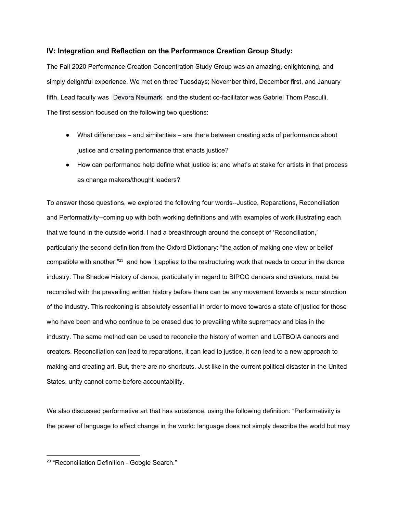# **IV: Integration and Reflection on the Performance Creation Group Study:**

The Fall 2020 Performance Creation Concentration Study Group was an amazing, enlightening, and simply delightful experience. We met on three Tuesdays; November third, December first, and January fifth. Lead faculty was Devora Neumark and the student co-facilitator was Gabriel Thom Pasculli. The first session focused on the following two questions:

- What differences and similarities are there between creating acts of performance about justice and creating performance that enacts justice?
- How can performance help define what justice is; and what's at stake for artists in that process as change makers/thought leaders?

To answer those questions, we explored the following four words--Justice, Reparations, Reconciliation and Performativity--coming up with both working definitions and with examples of work illustrating each that we found in the outside world. I had a breakthrough around the concept of 'Reconciliation,' particularly the second definition from the Oxford Dictionary: "the action of making one view or belief compatible with another,"<sup>23</sup> and how it applies to the restructuring work that needs to occur in the dance industry. The Shadow History of dance, particularly in regard to BIPOC dancers and creators, must be reconciled with the prevailing written history before there can be any movement towards a reconstruction of the industry. This reckoning is absolutely essential in order to move towards a state of justice for those who have been and who continue to be erased due to prevailing white supremacy and bias in the industry. The same method can be used to reconcile the history of women and LGTBQIA dancers and creators. Reconciliation can lead to reparations, it can lead to justice, it can lead to a new approach to making and creating art. But, there are no shortcuts. Just like in the current political disaster in the United States, unity cannot come before accountability.

We also discussed performative art that has substance, using the following definition: "Performativity is the power of language to effect change in the world: language does not simply describe the world but may

<sup>&</sup>lt;sup>23</sup> "Reconciliation Definition - Google Search."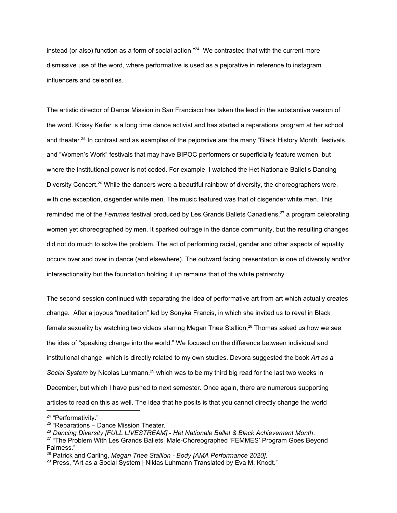instead (or also) function as a form of social action." <sup>24</sup> We contrasted that with the current more dismissive use of the word, where performative is used as a pejorative in reference to instagram influencers and celebrities.

The artistic director of Dance Mission in San Francisco has taken the lead in the substantive version of the word. Krissy Keifer is a long time dance activist and has started a reparations program at her school and theater. <sup>25</sup> In contrast and as examples of the pejorative are the many "Black History Month" festivals and "Women's Work" festivals that may have BIPOC performers or superficially feature women, but where the institutional power is not ceded. For example, I watched the Het Nationale Ballet's Dancing Diversity Concert.<sup>26</sup> While the dancers were a beautiful rainbow of diversity, the choreographers were, with one exception, cisgender white men. The music featured was that of cisgender white men. This reminded me of the *Femmes* festival produced by Les Grands Ballets Canadiens, <sup>27</sup> a program celebrating women yet choreographed by men. It sparked outrage in the dance community, but the resulting changes did not do much to solve the problem. The act of performing racial, gender and other aspects of equality occurs over and over in dance (and elsewhere). The outward facing presentation is one of diversity and/or intersectionality but the foundation holding it up remains that of the white patriarchy.

The second session continued with separating the idea of performative art from art which actually creates change. After a joyous "meditation" led by Sonyka Francis, in which she invited us to revel in Black female sexuality by watching two videos starring Megan Thee Stallion,<sup>28</sup> Thomas asked us how we see the idea of "speaking change into the world." We focused on the difference between individual and institutional change, which is directly related to my own studies. Devora suggested the book *Art as a* Social System by Nicolas Luhmann,<sup>29</sup> which was to be my third big read for the last two weeks in December, but which I have pushed to next semester. Once again, there are numerous supporting articles to read on this as well. The idea that he posits is that you cannot directly change the world

<sup>&</sup>lt;sup>24</sup> ["Performativity."](https://www.zotero.org/google-docs/?CY88uf)

<sup>&</sup>lt;sup>25</sup> ["Reparations](https://www.zotero.org/google-docs/?z1gt1X) – Dance Mission Theater."

<sup>26</sup> *Dancing Diversity [FULL [LIVESTREAM\]](https://www.zotero.org/google-docs/?CT1Vzg) - Het Nationale Ballet & Black Achievement Month*[.](https://www.zotero.org/google-docs/?CT1Vzg)

 $27$  "The Problem With Les Grands Ballets' [Male-Choreographed](https://www.zotero.org/google-docs/?U3YlL8) 'FEMMES' Program Goes Beyond [Fairness."](https://www.zotero.org/google-docs/?U3YlL8)

<sup>28</sup> Patrick and [Carling,](https://www.zotero.org/google-docs/?PwPOBV) *Megan Thee Stallion - Body [AMA [Performance](https://www.zotero.org/google-docs/?PwPOBV) 2020]*[.](https://www.zotero.org/google-docs/?PwPOBV)

 $29$  Press, "Art as a Social System | Niklas Luhmann [Translated](https://www.zotero.org/google-docs/?hYbpdD) by Eva M. Knodt."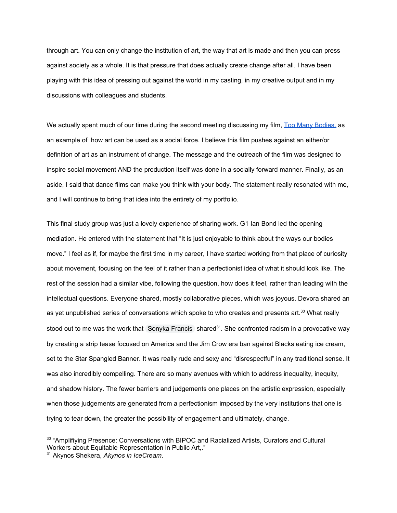through art. You can only change the institution of art, the way that art is made and then you can press against society as a whole. It is that pressure that does actually create change after all. I have been playing with this idea of pressing out against the world in my casting, in my creative output and in my discussions with colleagues and students.

We actually spent much of our time during the second meeting discussing my film, Too Many [Bodies,](https://www.toomanybodies.org/) as an example of how art can be used as a social force. I believe this film pushes against an either/or definition of art as an instrument of change. The message and the outreach of the film was designed to inspire social movement AND the production itself was done in a socially forward manner. Finally, as an aside, I said that dance films can make you think with your body. The statement really resonated with me, and I will continue to bring that idea into the entirety of my portfolio.

This final study group was just a lovely experience of sharing work. G1 Ian Bond led the opening mediation. He entered with the statement that "It is just enjoyable to think about the ways our bodies move." I feel as if, for maybe the first time in my career, I have started working from that place of curiosity about movement, focusing on the feel of it rather than a perfectionist idea of what it should look like. The rest of the session had a similar vibe, following the question, how does it feel, rather than leading with the intellectual questions. Everyone shared, mostly collaborative pieces, which was joyous. Devora shared an as yet unpublished series of conversations which spoke to who creates and presents art. $^{30}$  What really stood out to me was the work that Sonyka Francis shared<sup>31</sup>. She confronted racism in a provocative way by creating a strip tease focused on America and the Jim Crow era ban against Blacks eating ice cream, set to the Star Spangled Banner. It was really rude and sexy and "disrespectful" in any traditional sense. It was also incredibly compelling. There are so many avenues with which to address inequality, inequity, and shadow history. The fewer barriers and judgements one places on the artistic expression, especially when those judgements are generated from a perfectionism imposed by the very institutions that one is trying to tear down, the greater the possibility of engagement and ultimately, change.

 $30$  "Amplifiying Presence: [Conversations](https://www.zotero.org/google-docs/?ZmulSC) with BIPOC and Racialized Artists, Curators and Cultural Workers about Equitable [Representation](https://www.zotero.org/google-docs/?ZmulSC) in Public Art,."

<sup>31</sup> Akynos [Shekera,](https://www.zotero.org/google-docs/?N3fGe4) *Akynos in [IceCream](https://www.zotero.org/google-docs/?N3fGe4)*[.](https://www.zotero.org/google-docs/?N3fGe4)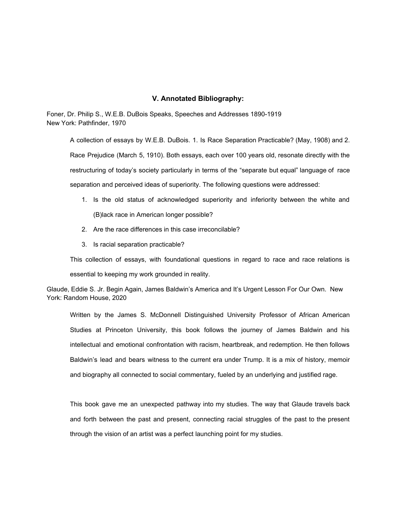## **V. Annotated Bibliography:**

Foner, Dr. Philip S., W.E.B. DuBois Speaks, Speeches and Addresses 1890-1919 New York: Pathfinder, 1970

A collection of essays by W.E.B. DuBois. 1. Is Race Separation Practicable? (May, 1908) and 2. Race Prejudice (March 5, 1910). Both essays, each over 100 years old, resonate directly with the restructuring of today's society particularly in terms of the "separate but equal" language of race separation and perceived ideas of superiority. The following questions were addressed:

- 1. Is the old status of acknowledged superiority and inferiority between the white and (B)lack race in American longer possible?
- 2. Are the race differences in this case irreconcilable?
- 3. Is racial separation practicable?

This collection of essays, with foundational questions in regard to race and race relations is essential to keeping my work grounded in reality.

Glaude, Eddie S. Jr. Begin Again, James Baldwin's America and It's Urgent Lesson For Our Own. New York: Random House, 2020

Written by the James S. McDonnell Distinguished University Professor of African American Studies at Princeton University, this book follows the journey of James Baldwin and his intellectual and emotional confrontation with racism, heartbreak, and redemption. He then follows Baldwin's lead and bears witness to the current era under Trump. It is a mix of history, memoir and biography all connected to social commentary, fueled by an underlying and justified rage.

This book gave me an unexpected pathway into my studies. The way that Glaude travels back and forth between the past and present, connecting racial struggles of the past to the present through the vision of an artist was a perfect launching point for my studies.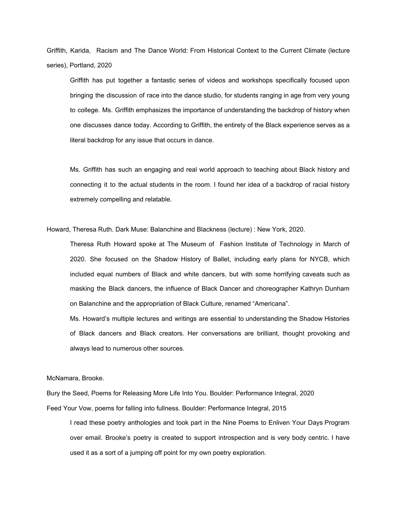Griffith, Karida, Racism and The Dance World: From [Historical](https://www.zotero.org/google-docs/?cHkOhE) Context to the Current Climate (lecture series), Portland, 2020

Griffith has put together a fantastic series of videos and workshops specifically focused upon bringing the discussion of race into the dance studio, for students ranging in age from very young to college. Ms. Griffith emphasizes the importance of understanding the backdrop of history when one discusses dance today. According to Griffith, the entirety of the Black experience serves as a literal backdrop for any issue that occurs in dance.

Ms. Griffith has such an engaging and real world approach to teaching about Black history and connecting it to the actual students in the room. I found her idea of a backdrop of racial history extremely compelling and relatable.

Howard, Theresa Ruth. Dark Muse: Balanchine and Blackness (lecture) : New York, 2020.

Theresa Ruth Howard spoke at The Museum of Fashion Institute of Technology in March of 2020. She focused on the Shadow History of Ballet, including early plans for NYCB, which included equal numbers of Black and white dancers, but with some horrifying caveats such as masking the Black dancers, the influence of Black Dancer and choreographer Kathryn Dunham on Balanchine and the appropriation of Black Culture, renamed "Americana".

Ms. Howard's multiple lectures and writings are essential to understanding the Shadow Histories of Black dancers and Black creators. Her conversations are brilliant, thought provoking and always lead to numerous other sources.

McNamara, Brooke.

Bury the Seed, Poems for Releasing More Life Into You. Boulder: Performance Integral, 2020 Feed Your Vow, poems for falling into fullness. Boulder: Performance Integral, 2015

I read these poetry anthologies and took part in the Nine Poems to Enliven Your Days Program over email. Brooke's poetry is created to support introspection and is very body centric. I have used it as a sort of a jumping off point for my own poetry exploration.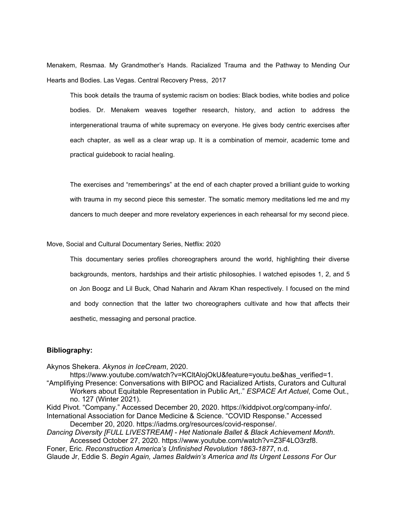Menakem, Resmaa. My Grandmother's Hands. Racialized Trauma and the Pathway to Mending Our Hearts and Bodies. Las Vegas. Central Recovery Press, 2017

This book details the trauma of systemic racism on bodies: Black bodies, white bodies and police bodies. Dr. Menakem weaves together research, history, and action to address the intergenerational trauma of white supremacy on everyone. He gives body centric exercises after each chapter, as well as a clear wrap up. It is a combination of memoir, academic tome and practical guidebook to racial healing.

The exercises and "rememberings" at the end of each chapter proved a brilliant guide to working with trauma in my second piece this semester. The somatic memory meditations led me and my dancers to much deeper and more revelatory experiences in each rehearsal for my second piece.

Move, Social and Cultural Documentary Series, Netflix: 2020

This documentary series profiles choreographers around the world, highlighting their diverse backgrounds, mentors, hardships and their artistic philosophies. I watched episodes 1, 2, and 5 on Jon Boogz and Lil Buck, Ohad Naharin and Akram Khan respectively. I focused on the mind and body connection that the latter two choreographers cultivate and how that affects their aesthetic, messaging and personal practice.

### **Bibliography:**

Akynos [Shekera.](https://www.zotero.org/google-docs/?Lpdj4P) *Akynos in [IceCream](https://www.zotero.org/google-docs/?Lpdj4P)*, [2020.](https://www.zotero.org/google-docs/?Lpdj4P)

[https://www.youtube.com/watch?v=KCltAlojOkU&feature=youtu.be&has\\_verified=1.](https://www.zotero.org/google-docs/?Lpdj4P) "Amplifiying Presence: [Conversations](https://www.zotero.org/google-docs/?Lpdj4P) with BIPOC and Racialized Artists, Curators and Cultural Workers about Equitable [Representation](https://www.zotero.org/google-docs/?Lpdj4P) in Public Art,." *[ESPACE](https://www.zotero.org/google-docs/?Lpdj4P) Art Actuel*, [Come](https://www.zotero.org/google-docs/?Lpdj4P) Out., no. 127 [\(Winter](https://www.zotero.org/google-docs/?Lpdj4P) 2021).

Kidd Pivot. "Company." Accessed December 20, 2020. [https://kiddpivot.org/company-info/.](https://www.zotero.org/google-docs/?Lpdj4P) [International](https://www.zotero.org/google-docs/?Lpdj4P) Association for Dance Medicine & Science. "COVID Response." Accessed

December 20, 2020. [https://iadms.org/resources/covid-response/.](https://www.zotero.org/google-docs/?Lpdj4P)

*Dancing Diversity [FULL [LIVESTREAM\]](https://www.zotero.org/google-docs/?Lpdj4P) - Het Nationale Ballet & Black Achievement Month*[.](https://www.zotero.org/google-docs/?Lpdj4P) Accessed October 27, 2020. [https://www.youtube.com/watch?v=Z3F4LO3rzf8.](https://www.zotero.org/google-docs/?Lpdj4P)

[Foner,](https://www.zotero.org/google-docs/?Lpdj4P) Eric. *[Reconstruction](https://www.zotero.org/google-docs/?Lpdj4P) America's Unfinished Revolution 1863-1877*, [n.d.](https://www.zotero.org/google-docs/?Lpdj4P) [Glaude](https://www.zotero.org/google-docs/?Lpdj4P) Jr, Eddie S. *Begin Again, James [Baldwin's](https://www.zotero.org/google-docs/?Lpdj4P) America and Its Urgent Lessons For Our*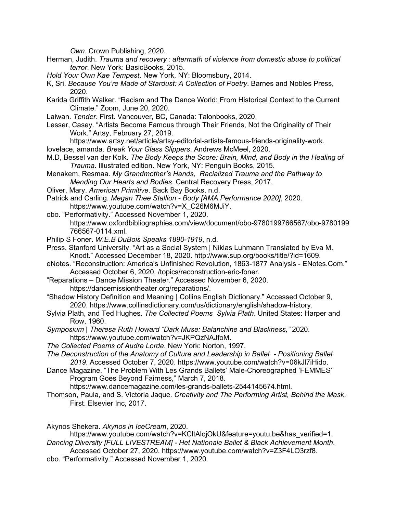*[Own](https://www.zotero.org/google-docs/?Lpdj4P)*. Crown [Publishing,](https://www.zotero.org/google-docs/?Lpdj4P) 2020.

- [Herman,](https://www.zotero.org/google-docs/?Lpdj4P) Judith. *Trauma and recovery : [aftermath](https://www.zotero.org/google-docs/?Lpdj4P) of violence from domestic abuse to political [terror](https://www.zotero.org/google-docs/?Lpdj4P)*. New York: [BasicBooks,](https://www.zotero.org/google-docs/?Lpdj4P) 2015.
- *Hold Your Own Kae [Tempest](https://www.zotero.org/google-docs/?Lpdj4P)*. New York, NY: [Bloomsbury,](https://www.zotero.org/google-docs/?Lpdj4P) 2014.
- K, [Sri.](https://www.zotero.org/google-docs/?Lpdj4P) *Because You're Made of Stardust: A [Collection](https://www.zotero.org/google-docs/?Lpdj4P) of Poetry*. [Barnes](https://www.zotero.org/google-docs/?Lpdj4P) and Nobles Press, [2020.](https://www.zotero.org/google-docs/?Lpdj4P)
- Karida Griffith Walker. "Racism and The Dance World: From [Historical](https://www.zotero.org/google-docs/?Lpdj4P) Context to the Current [Climate."](https://www.zotero.org/google-docs/?Lpdj4P) Zoom, June 20, 2020.
- [Laiwan.](https://www.zotero.org/google-docs/?Lpdj4P) *[Tender](https://www.zotero.org/google-docs/?Lpdj4P)*. First. Vancouver, BC, Canada: [Talonbooks,](https://www.zotero.org/google-docs/?Lpdj4P) 2020.
- Lesser, Casey. "Artists Become Famous through Their Friends, Not the [Originality](https://www.zotero.org/google-docs/?Lpdj4P) of Their Work." Artsy, [February](https://www.zotero.org/google-docs/?Lpdj4P) 27, 2019.

[https://www.artsy.net/article/artsy-editorial-artists-famous-friends-originality-work.](https://www.zotero.org/google-docs/?Lpdj4P)

- [lovelace,](https://www.zotero.org/google-docs/?Lpdj4P) amanda. *Break Your Glass [Slippers](https://www.zotero.org/google-docs/?Lpdj4P)*. [Andrews](https://www.zotero.org/google-docs/?Lpdj4P) McMeel, 2020.
- M.D, [Bessel](https://www.zotero.org/google-docs/?Lpdj4P) van der Kolk. *The Body Keeps the Score: Brain, Mind, and Body in the [Healing](https://www.zotero.org/google-docs/?Lpdj4P) of [Trauma](https://www.zotero.org/google-docs/?Lpdj4P)*. [Illustrated](https://www.zotero.org/google-docs/?Lpdj4P) edition. New York, NY: Penguin Books, 2015.
- [Menakem,](https://www.zotero.org/google-docs/?Lpdj4P) Resmaa. *My [Grandmother's](https://www.zotero.org/google-docs/?Lpdj4P) Hands, Racialized Trauma and the Pathway to [Mending](https://www.zotero.org/google-docs/?Lpdj4P) Our Hearts and Bodies*. Central [Recovery](https://www.zotero.org/google-docs/?Lpdj4P) Press, 2017.
- [Oliver,](https://www.zotero.org/google-docs/?Lpdj4P) Mary. *[American](https://www.zotero.org/google-docs/?Lpdj4P) Primitive*. Back Bay [Books,](https://www.zotero.org/google-docs/?Lpdj4P) n.d.
- Patrick and [Carling.](https://www.zotero.org/google-docs/?Lpdj4P) *Megan Thee Stallion - Body [AMA [Performance](https://www.zotero.org/google-docs/?Lpdj4P) 2020]*, [2020.](https://www.zotero.org/google-docs/?Lpdj4P) [https://www.youtube.com/watch?v=X\\_C26M6MJiY.](https://www.zotero.org/google-docs/?Lpdj4P)
- obo. ["Performativity."](https://www.zotero.org/google-docs/?Lpdj4P) Accessed November 1, 2020. [https://www.oxfordbibliographies.com/view/document/obo-9780199766567/obo-9780199](https://www.zotero.org/google-docs/?Lpdj4P) [766567-0114.xml.](https://www.zotero.org/google-docs/?Lpdj4P)
- Philip S [Foner.](https://www.zotero.org/google-docs/?Lpdj4P) *W.E.B DuBois Speaks [1890-1919](https://www.zotero.org/google-docs/?Lpdj4P)*, [n.d.](https://www.zotero.org/google-docs/?Lpdj4P)
- Press, Stanford University. "Art as a Social System | Niklas Luhmann [Translated](https://www.zotero.org/google-docs/?Lpdj4P) by Eva M. Knodt." Accessed December 18, 2020. [http://www.sup.org/books/title/?id=1609.](https://www.zotero.org/google-docs/?Lpdj4P)
- eNotes. ["Reconstruction:](https://www.zotero.org/google-docs/?Lpdj4P) America's Unfinished Revolution, 1863-1877 Analysis ENotes.Com." Accessed October 6, 2020. [/topics/reconstruction-eric-foner.](https://www.zotero.org/google-docs/?Lpdj4P)
- ["Reparations](https://www.zotero.org/google-docs/?Lpdj4P) Dance Mission Theater." Accessed November 6, 2020. [https://dancemissiontheater.org/reparations/.](https://www.zotero.org/google-docs/?Lpdj4P)
- "Shadow History Definition and Meaning | Collins English [Dictionary."](https://www.zotero.org/google-docs/?Lpdj4P) Accessed October 9, 2020. [https://www.collinsdictionary.com/us/dictionary/english/shadow-history.](https://www.zotero.org/google-docs/?Lpdj4P)
- Sylvia Plath, and Ted [Hughes.](https://www.zotero.org/google-docs/?Lpdj4P) *The [Collected](https://www.zotero.org/google-docs/?Lpdj4P) Poems Sylvia Plath*. United [States:](https://www.zotero.org/google-docs/?Lpdj4P) Harper and Row, [1960.](https://www.zotero.org/google-docs/?Lpdj4P)
- *[Symposium](https://www.zotero.org/google-docs/?Lpdj4P) | Theresa Ruth Howard "Dark Muse: Balanchine and Blackness,"* [2020.](https://www.zotero.org/google-docs/?Lpdj4P) [https://www.youtube.com/watch?v=JKPQzNAJfoM.](https://www.zotero.org/google-docs/?Lpdj4P)
- *The [Collected](https://www.zotero.org/google-docs/?Lpdj4P) Poems of Audre Lorde*. New York: [Norton,](https://www.zotero.org/google-docs/?Lpdj4P) 1997.
- *The [Deconstruction](https://www.zotero.org/google-docs/?Lpdj4P) of the Anatomy of Culture and Leadership in Ballet - Positioning Ballet [2019](https://www.zotero.org/google-docs/?Lpdj4P)*. Accessed October 7, 2020. [https://www.youtube.com/watch?v=06kJl7iHido.](https://www.zotero.org/google-docs/?Lpdj4P)
- Dance Magazine. "The Problem With Les Grands Ballets' [Male-Choreographed](https://www.zotero.org/google-docs/?Lpdj4P) 'FEMMES' Program Goes Beyond [Fairness,"](https://www.zotero.org/google-docs/?Lpdj4P) March 7, 2018.

[https://www.dancemagazine.com/les-grands-ballets-2544145674.html.](https://www.zotero.org/google-docs/?Lpdj4P)

[Thomson,](https://www.zotero.org/google-docs/?Lpdj4P) Paula, and S. Victoria Jaque. *Creativity and The [Performing](https://www.zotero.org/google-docs/?Lpdj4P) Artist, Behind the Mask*[.](https://www.zotero.org/google-docs/?Lpdj4P) First. [Elsevier](https://www.zotero.org/google-docs/?Lpdj4P) Inc, 2017.

Akynos [Shekera.](https://www.zotero.org/google-docs/?broken=PVDARv) *Akynos in [IceCream](https://www.zotero.org/google-docs/?broken=PVDARv)*, [2020.](https://www.zotero.org/google-docs/?broken=PVDARv)

[https://www.youtube.com/watch?v=KCltAlojOkU&feature=youtu.be&has\\_verified=1.](https://www.zotero.org/google-docs/?broken=PVDARv) *Dancing Diversity [FULL [LIVESTREAM\]](https://www.zotero.org/google-docs/?broken=FbylTo) - Het Nationale Ballet & Black Achievement Month*[.](https://www.zotero.org/google-docs/?broken=FbylTo)

Accessed October 27, 2020. [https://www.youtube.com/watch?v=Z3F4LO3rzf8.](https://www.zotero.org/google-docs/?broken=FbylTo)

obo. ["Performativity."](https://www.zotero.org/google-docs/?broken=pHngIf) Accessed November 1, 2020.